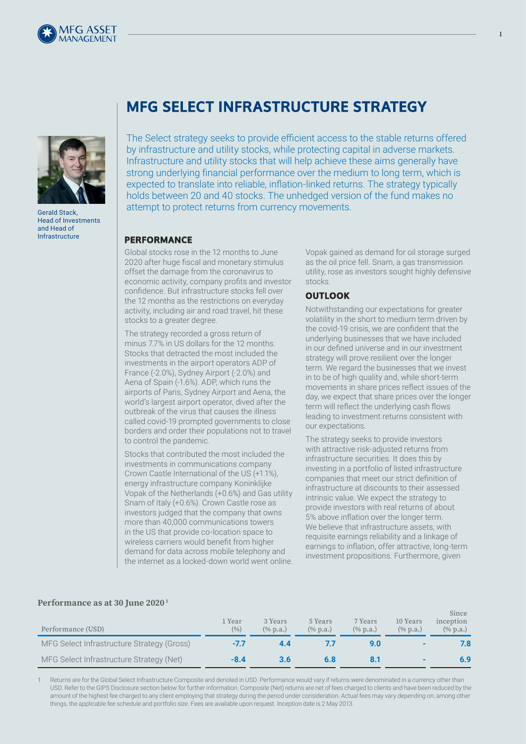



Gerald Stack, Head of Investments and Head of Infrastructure

# **MFG SELECT INFRASTRUCTURE STRATEGY**

The Select strategy seeks to provide efficient access to the stable returns offered by infrastructure and utility stocks, while protecting capital in adverse markets. Infrastructure and utility stocks that will help achieve these aims generally have strong underlying financial performance over the medium to long term, which is expected to translate into reliable, inflation-linked returns. The strategy typically holds between 20 and 40 stocks. The unhedged version of the fund makes no attempt to protect returns from currency movements.

#### **PERFORMANCE**

Global stocks rose in the 12 months to June 2020 after huge fiscal and monetary stimulus offset the damage from the coronavirus to economic activity, company profits and investor confidence. But infrastructure stocks fell over the 12 months as the restrictions on everyday activity, including air and road travel, hit these stocks to a greater degree.

The strategy recorded a gross return of minus 7.7% in US dollars for the 12 months. Stocks that detracted the most included the investments in the airport operators ADP of France (-2.0%), Sydney Airport (-2.0%) and Aena of Spain (-1.6%). ADP, which runs the airports of Paris, Sydney Airport and Aena, the world's largest airport operator, dived after the outbreak of the virus that causes the illness called covid-19 prompted governments to close borders and order their populations not to travel to control the pandemic.

Stocks that contributed the most included the investments in communications company Crown Castle International of the US (+1.1%), energy infrastructure company Koninklijke Vopak of the Netherlands (+0.6%) and Gas utility Snam of Italy (+0.6%). Crown Castle rose as investors judged that the company that owns more than 40,000 communications towers in the US that provide co-location space to wireless carriers would benefit from higher demand for data across mobile telephony and the internet as a locked-down world went online.

Vopak gained as demand for oil storage surged as the oil price fell. Snam, a gas transmission utility, rose as investors sought highly defensive stocks.

### **OUTLOOK**

Notwithstanding our expectations for greater volatility in the short to medium term driven by the covid-19 crisis, we are confident that the underlying businesses that we have included in our defined universe and in our investment strategy will prove resilient over the longer term. We regard the businesses that we invest in to be of high quality and, while short-term movements in share prices reflect issues of the day, we expect that share prices over the longer term will reflect the underlying cash flows leading to investment returns consistent with our expectations.

The strategy seeks to provide investors with attractive risk-adjusted returns from infrastructure securities. It does this by investing in a portfolio of listed infrastructure companies that meet our strict definition of infrastructure at discounts to their assessed intrinsic value. We expect the strategy to provide investors with real returns of about 5% above inflation over the longer term. We believe that infrastructure assets, with requisite earnings reliability and a linkage of earnings to inflation, offer attractive, long-term investment propositions. Furthermore, given

|                   | 1 Year 3 Years |                     |
|-------------------|----------------|---------------------|
| Performance (ISD) |                | $(0_0)$ $(0_0 n a)$ |

**Performance as at 30 June 2020 1**

| Performance (USD)                          | 1 Year<br>(%) | 3 Years<br>$(\%$ p.a.) | 5 Years<br>$(\%$ p.a.) | 7 Years<br>$(\%$ p.a.) | 10 Years<br>$(\%$ p.a.) | Since<br>inception<br>$(\%$ p.a.) |
|--------------------------------------------|---------------|------------------------|------------------------|------------------------|-------------------------|-----------------------------------|
| MFG Select Infrastructure Strategy (Gross) | -7.7          | 4.4                    |                        |                        |                         | 7.8                               |
| MFG Select Infrastructure Strategy (Net)   | $-8.4$        | 3.6                    | 6.8                    |                        |                         | 6.9                               |

Returns are for the Global Select Infrastructure Composite and denoted in USD. Performance would vary if returns were denominated in a currency other than USD. Refer to the GIPS Disclosure section below for further information. Composite (Net) returns are net of fees charged to clients and have been reduced by the amount of the highest fee charged to any client employing that strategy during the period under consideration. Actual fees may vary depending on, among other things, the applicable fee schedule and portfolio size. Fees are available upon request. Inception date is 2 May 2013.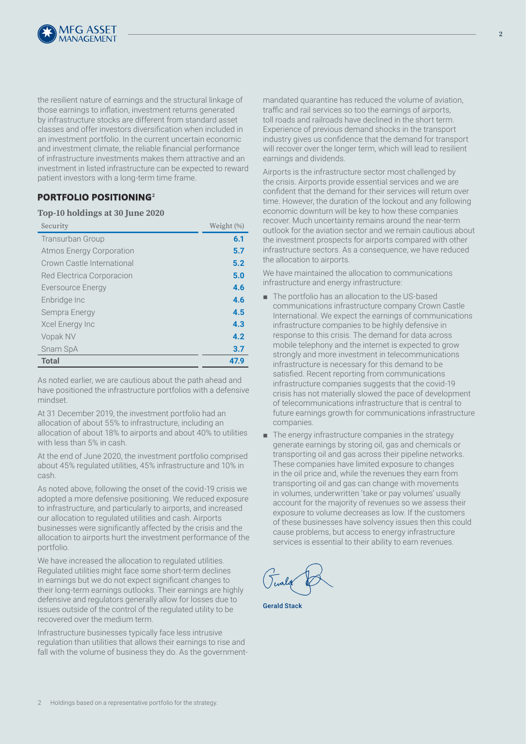

the resilient nature of earnings and the structural linkage of those earnings to inflation, investment returns generated by infrastructure stocks are different from standard asset classes and offer investors diversification when included in an investment portfolio. In the current uncertain economic and investment climate, the reliable financial performance of infrastructure investments makes them attractive and an investment in listed infrastructure can be expected to reward patient investors with a long-term time frame.

## **PORTFOLIO POSITIONING<sup>2</sup>**

#### **Top-10 holdings at 30 June 2020**

| Security                        | Weight (%) |
|---------------------------------|------------|
| Transurban Group                | 6.1        |
| <b>Atmos Energy Corporation</b> | 5.7        |
| Crown Castle International      | 5.2        |
| Red Electrica Corporacion       | 5.0        |
| Eversource Energy               | 4.6        |
| Enbridge Inc                    | 4.6        |
| Sempra Energy                   | 4.5        |
| Xcel Energy Inc                 | 4.3        |
| Vopak NV                        | 4.2        |
| Snam SpA                        | 3.7        |
| <b>Total</b>                    | 47.9       |

As noted earlier, we are cautious about the path ahead and have positioned the infrastructure portfolios with a defensive mindset.

At 31 December 2019, the investment portfolio had an allocation of about 55% to infrastructure, including an allocation of about 18% to airports and about 40% to utilities with less than 5% in cash.

At the end of June 2020, the investment portfolio comprised about 45% regulated utilities, 45% infrastructure and 10% in cash.

As noted above, following the onset of the covid-19 crisis we adopted a more defensive positioning. We reduced exposure to infrastructure, and particularly to airports, and increased our allocation to regulated utilities and cash. Airports businesses were significantly affected by the crisis and the allocation to airports hurt the investment performance of the portfolio.

We have increased the allocation to regulated utilities. Regulated utilities might face some short-term declines in earnings but we do not expect significant changes to their long-term earnings outlooks. Their earnings are highly defensive and regulators generally allow for losses due to issues outside of the control of the regulated utility to be recovered over the medium term.

Infrastructure businesses typically face less intrusive regulation than utilities that allows their earnings to rise and fall with the volume of business they do. As the governmentmandated quarantine has reduced the volume of aviation, traffic and rail services so too the earnings of airports, toll roads and railroads have declined in the short term. Experience of previous demand shocks in the transport industry gives us confidence that the demand for transport will recover over the longer term, which will lead to resilient earnings and dividends.

Airports is the infrastructure sector most challenged by the crisis. Airports provide essential services and we are confident that the demand for their services will return over time. However, the duration of the lockout and any following economic downturn will be key to how these companies recover. Much uncertainty remains around the near-term outlook for the aviation sector and we remain cautious about the investment prospects for airports compared with other infrastructure sectors. As a consequence, we have reduced the allocation to airports.

We have maintained the allocation to communications infrastructure and energy infrastructure:

- The portfolio has an allocation to the US-based communications infrastructure company Crown Castle International. We expect the earnings of communications infrastructure companies to be highly defensive in response to this crisis. The demand for data across mobile telephony and the internet is expected to grow strongly and more investment in telecommunications infrastructure is necessary for this demand to be satisfied. Recent reporting from communications infrastructure companies suggests that the covid-19 crisis has not materially slowed the pace of development of telecommunications infrastructure that is central to future earnings growth for communications infrastructure companies.
- The energy infrastructure companies in the strategy generate earnings by storing oil, gas and chemicals or transporting oil and gas across their pipeline networks. These companies have limited exposure to changes in the oil price and, while the revenues they earn from transporting oil and gas can change with movements in volumes, underwritten 'take or pay volumes' usually account for the majority of revenues so we assess their exposure to volume decreases as low. If the customers of these businesses have solvency issues then this could cause problems, but access to energy infrastructure services is essential to their ability to earn revenues.

Gerald Stack